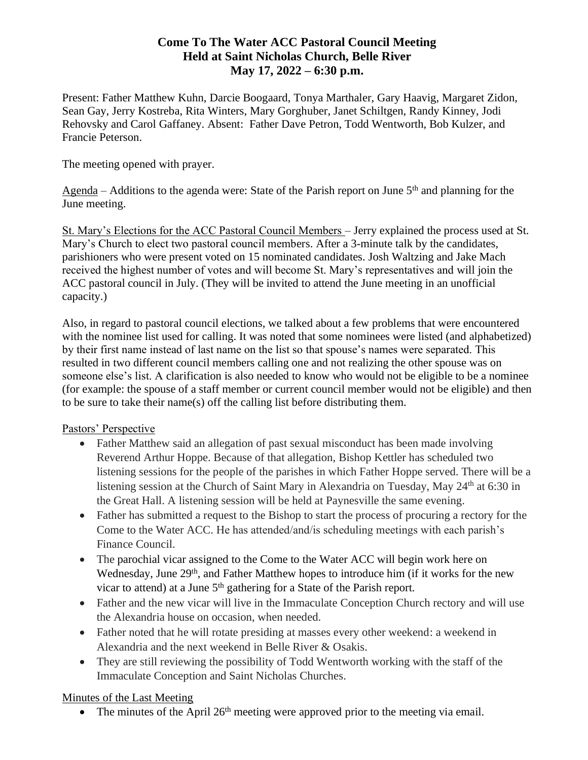# **Come To The Water ACC Pastoral Council Meeting Held at Saint Nicholas Church, Belle River May 17, 2022 – 6:30 p.m.**

Present: Father Matthew Kuhn, Darcie Boogaard, Tonya Marthaler, Gary Haavig, Margaret Zidon, Sean Gay, Jerry Kostreba, Rita Winters, Mary Gorghuber, Janet Schiltgen, Randy Kinney, Jodi Rehovsky and Carol Gaffaney. Absent: Father Dave Petron, Todd Wentworth, Bob Kulzer, and Francie Peterson.

The meeting opened with prayer.

Agenda – Additions to the agenda were: State of the Parish report on June  $5<sup>th</sup>$  and planning for the June meeting.

St. Mary's Elections for the ACC Pastoral Council Members – Jerry explained the process used at St. Mary's Church to elect two pastoral council members. After a 3-minute talk by the candidates, parishioners who were present voted on 15 nominated candidates. Josh Waltzing and Jake Mach received the highest number of votes and will become St. Mary's representatives and will join the ACC pastoral council in July. (They will be invited to attend the June meeting in an unofficial capacity.)

Also, in regard to pastoral council elections, we talked about a few problems that were encountered with the nominee list used for calling. It was noted that some nominees were listed (and alphabetized) by their first name instead of last name on the list so that spouse's names were separated. This resulted in two different council members calling one and not realizing the other spouse was on someone else's list. A clarification is also needed to know who would not be eligible to be a nominee (for example: the spouse of a staff member or current council member would not be eligible) and then to be sure to take their name(s) off the calling list before distributing them.

# Pastors' Perspective

- Father Matthew said an allegation of past sexual misconduct has been made involving Reverend Arthur Hoppe. Because of that allegation, Bishop Kettler has scheduled two listening sessions for the people of the parishes in which Father Hoppe served. There will be a listening session at the Church of Saint Mary in Alexandria on Tuesday, May 24<sup>th</sup> at 6:30 in the Great Hall. A listening session will be held at Paynesville the same evening.
- Father has submitted a request to the Bishop to start the process of procuring a rectory for the Come to the Water ACC. He has attended/and/is scheduling meetings with each parish's Finance Council.
- The parochial vicar assigned to the Come to the Water ACC will begin work here on Wednesday, June 29<sup>th</sup>, and Father Matthew hopes to introduce him (if it works for the new vicar to attend) at a June 5<sup>th</sup> gathering for a State of the Parish report.
- Father and the new vicar will live in the Immaculate Conception Church rectory and will use the Alexandria house on occasion, when needed.
- Father noted that he will rotate presiding at masses every other weekend: a weekend in Alexandria and the next weekend in Belle River & Osakis.
- They are still reviewing the possibility of Todd Wentworth working with the staff of the Immaculate Conception and Saint Nicholas Churches.

# Minutes of the Last Meeting

• The minutes of the April  $26<sup>th</sup>$  meeting were approved prior to the meeting via email.